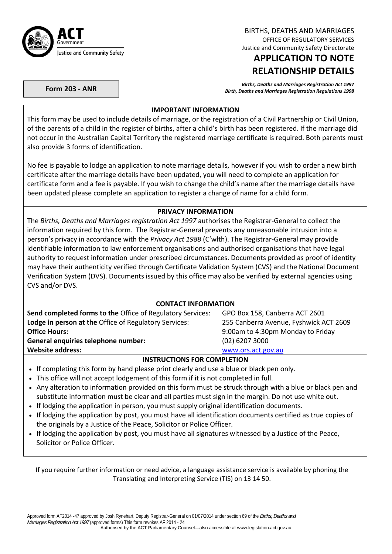

BIRTHS, DEATHS AND MARRIAGES OFFICE OF REGULATORY SERVICES Justice and Community Safety Directorate

# **APPLICATION TO NOTE RELATIONSHIP DETAILS**

Births, Deaths and Marriages Registration Act 1997<br>Birth, Deaths and Marriages Registration Regulations 1998 (Birth, Deaths and Marriages Registration Regulations

## **IMPORTANT INFORMATION**

This form may be used to include details of marriage, or the registration of a Civil Partnership or Civil Union, of the parents of a child in the register of births, after a child's birth has been registered. If the marriage did not occur in the Australian Capital Territory the registered marriage certificate is required. Both parents must also provide 3 forms of identification.

No fee is payable to lodge an application to note marriage details, however if you wish to order a new birth certificate after the marriage details have been updated, you will need to complete an application for certificate form and a fee is payable. If you wish to change the child's name after the marriage details have been updated please complete an application to register a change of name for a child form.

# **PRIVACY INFORMATION**

The *Births, Deaths and Marriages registration Act 1997* authorises the Registrar‐General to collect the information required by this form. The Registrar‐General prevents any unreasonable intrusion into a person's privacy in accordance with the *Privacy Act 1988* (C'wlth). The Registrar‐General may provide identifiable information to law enforcement organisations and authorised organisations that have legal authority to request information under prescribed circumstances. Documents provided as proof of identity may have their authenticity verified through Certificate Validation System (CVS) and the National Document Verification System (DVS). Documents issued by this office may also be verified by external agencies using CVS and/or DVS.

### **CONTACT INFORMATION**

| <b>Send completed forms to the Office of Regulatory Services:</b> | GPO Box 158, Canberra ACT 2601         |
|-------------------------------------------------------------------|----------------------------------------|
| Lodge in person at the Office of Regulatory Services:             | 255 Canberra Avenue, Fyshwick ACT 2609 |
| <b>Office Hours:</b>                                              | 9:00am to 4:30pm Monday to Friday      |
| General enquiries telephone number:                               | $(02)$ 6207 3000                       |
| <b>Website address:</b>                                           | www.ors.act.gov.au                     |

### **INSTRUCTIONS FOR COMPLETION**

- If completing this form by hand please print clearly and use a blue or black pen only.
- This office will not accept lodgement of this form if it is not completed in full.
- Any alteration to information provided on this form must be struck through with a blue or black pen and substitute information must be clear and all parties must sign in the margin. Do not use white out.
- If lodging the application in person, you must supply original identification documents.
- If lodging the application by post, you must have all identification documents certified as true copies of the originals by a Justice of the Peace, Solicitor or Police Officer.
- If lodging the application by post, you must have all signatures witnessed by a Justice of the Peace, Solicitor or Police Officer.

If you require further information or need advice, a language assistance service is available by phoning the Translating and Interpreting Service (TIS) on 13 14 50.